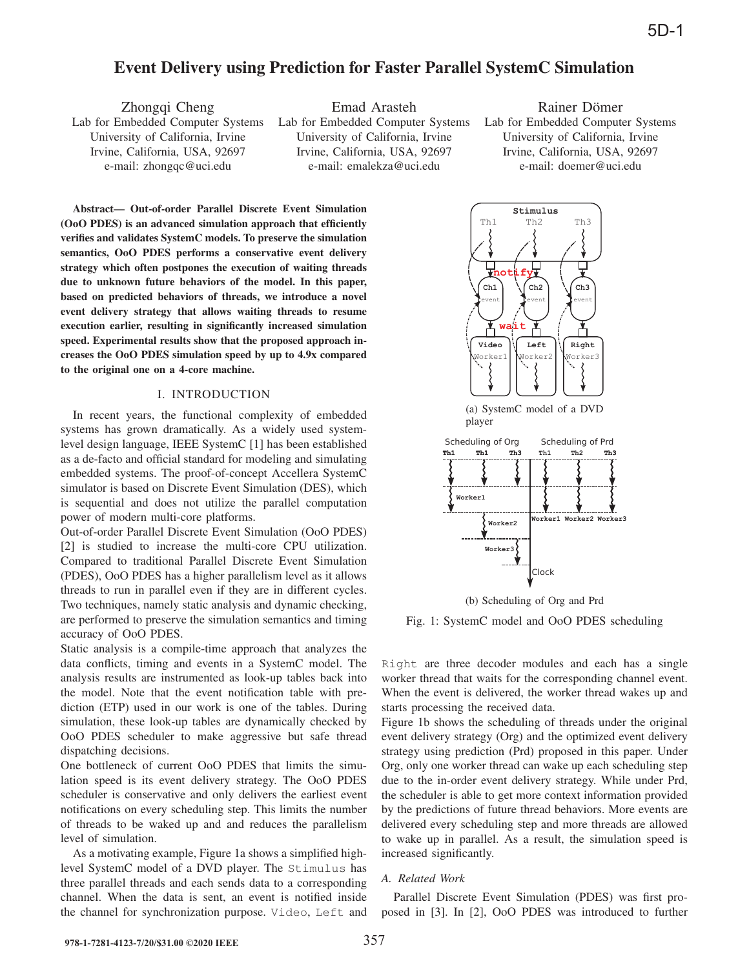# Event Delivery using Prediction for Faster Parallel SystemC Simulation

Lab for Embedded Computer Systems Lab for Embedded Computer Systems Lab for Embedded Computer Systems

Zhongqi Cheng Emad Arasteh Rainer Dömer University of California, Irvine University of California, Irvine University of California, Irvine Irvine, California, USA, 92697 Irvine, California, USA, 92697 Irvine, California, USA, 92697 e-mail: zhongqc@uci.edu e-mail: emalekza@uci.edu e-mail: doemer@uci.edu

Abstract— Out-of-order Parallel Discrete Event Simulation (OoO PDES) is an advanced simulation approach that efficiently verifies and validates SystemC models. To preserve the simulation semantics, OoO PDES performs a conservative event delivery strategy which often postpones the execution of waiting threads due to unknown future behaviors of the model. In this paper, based on predicted behaviors of threads, we introduce a novel event delivery strategy that allows waiting threads to resume execution earlier, resulting in significantly increased simulation speed. Experimental results show that the proposed approach increases the OoO PDES simulation speed by up to 4.9x compared to the original one on a 4-core machine.

## I. INTRODUCTION

In recent years, the functional complexity of embedded systems has grown dramatically. As a widely used systemlevel design language, IEEE SystemC [1] has been established as a de-facto and official standard for modeling and simulating embedded systems. The proof-of-concept Accellera SystemC simulator is based on Discrete Event Simulation (DES), which is sequential and does not utilize the parallel computation power of modern multi-core platforms.

Out-of-order Parallel Discrete Event Simulation (OoO PDES) [2] is studied to increase the multi-core CPU utilization. Compared to traditional Parallel Discrete Event Simulation (PDES), OoO PDES has a higher parallelism level as it allows threads to run in parallel even if they are in different cycles. Two techniques, namely static analysis and dynamic checking, are performed to preserve the simulation semantics and timing accuracy of OoO PDES.

Static analysis is a compile-time approach that analyzes the data conflicts, timing and events in a SystemC model. The analysis results are instrumented as look-up tables back into the model. Note that the event notification table with prediction (ETP) used in our work is one of the tables. During simulation, these look-up tables are dynamically checked by OoO PDES scheduler to make aggressive but safe thread dispatching decisions.

One bottleneck of current OoO PDES that limits the simulation speed is its event delivery strategy. The OoO PDES scheduler is conservative and only delivers the earliest event notifications on every scheduling step. This limits the number of threads to be waked up and and reduces the parallelism level of simulation.

As a motivating example, Figure 1a shows a simplified highlevel SystemC model of a DVD player. The Stimulus has three parallel threads and each sends data to a corresponding channel. When the data is sent, an event is notified inside the channel for synchronization purpose. Video, Left and





(b) Scheduling of Org and Prd

Fig. 1: SystemC model and OoO PDES scheduling

Right are three decoder modules and each has a single worker thread that waits for the corresponding channel event. When the event is delivered, the worker thread wakes up and starts processing the received data.

Figure 1b shows the scheduling of threads under the original event delivery strategy (Org) and the optimized event delivery strategy using prediction (Prd) proposed in this paper. Under Org, only one worker thread can wake up each scheduling step due to the in-order event delivery strategy. While under Prd, the scheduler is able to get more context information provided by the predictions of future thread behaviors. More events are delivered every scheduling step and more threads are allowed to wake up in parallel. As a result, the simulation speed is increased significantly.

#### *A. Related Work*

Parallel Discrete Event Simulation (PDES) was first proposed in [3]. In [2], OoO PDES was introduced to further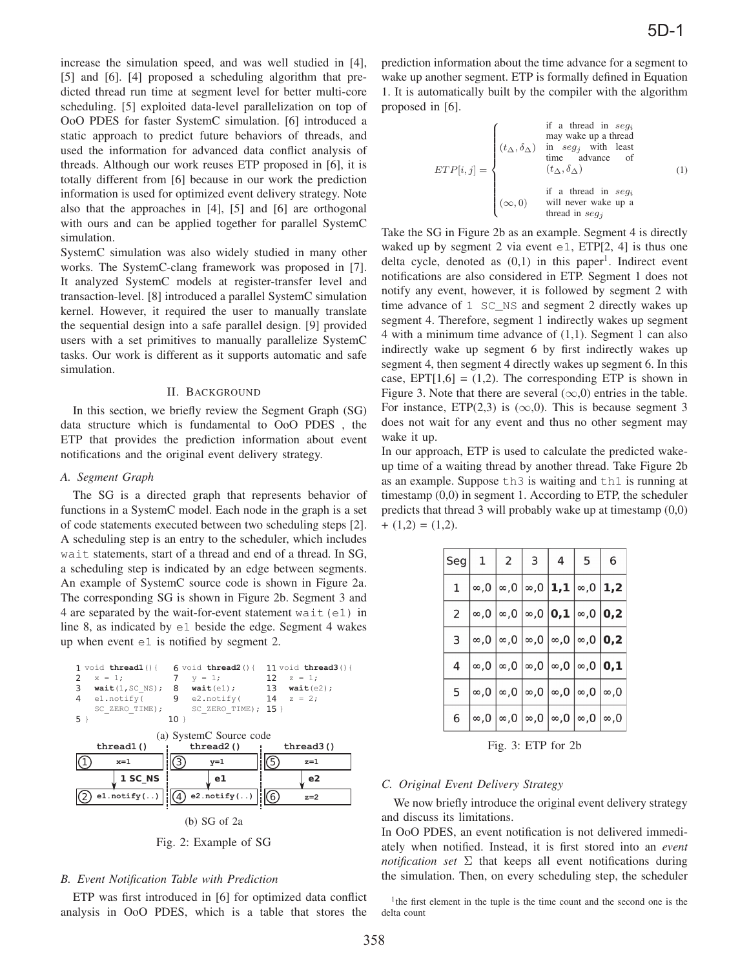increase the simulation speed, and was well studied in [4], [5] and [6]. [4] proposed a scheduling algorithm that predicted thread run time at segment level for better multi-core scheduling. [5] exploited data-level parallelization on top of OoO PDES for faster SystemC simulation. [6] introduced a static approach to predict future behaviors of threads, and used the information for advanced data conflict analysis of threads. Although our work reuses ETP proposed in [6], it is totally different from [6] because in our work the prediction information is used for optimized event delivery strategy. Note also that the approaches in [4], [5] and [6] are orthogonal with ours and can be applied together for parallel SystemC simulation.

SystemC simulation was also widely studied in many other works. The SystemC-clang framework was proposed in [7]. It analyzed SystemC models at register-transfer level and transaction-level. [8] introduced a parallel SystemC simulation kernel. However, it required the user to manually translate the sequential design into a safe parallel design. [9] provided users with a set primitives to manually parallelize SystemC tasks. Our work is different as it supports automatic and safe simulation.

#### II. BACKGROUND

In this section, we briefly review the Segment Graph (SG) data structure which is fundamental to OoO PDES , the ETP that provides the prediction information about event notifications and the original event delivery strategy.

#### *A. Segment Graph*

The SG is a directed graph that represents behavior of functions in a SystemC model. Each node in the graph is a set of code statements executed between two scheduling steps [2]. A scheduling step is an entry to the scheduler, which includes wait statements, start of a thread and end of a thread. In SG, a scheduling step is indicated by an edge between segments. An example of SystemC source code is shown in Figure 2a. The corresponding SG is shown in Figure 2b. Segment 3 and 4 are separated by the wait-for-event statement wait (e1) in line 8, as indicated by e1 beside the edge. Segment 4 wakes up when event  $\in$  1 is notified by segment 2.



Fig. 2: Example of SG

#### *B. Event Notification Table with Prediction*

ETP was first introduced in [6] for optimized data conflict analysis in OoO PDES, which is a table that stores the prediction information about the time advance for a segment to wake up another segment. ETP is formally defined in Equation 1. It is automatically built by the compiler with the algorithm proposed in [6].

$$
ETP[i,j] = \begin{cases} \n\text{if a thread in } seg_i \\ \n\text{may wake up a thread} \\ \n\text{time} \quad \text{advance} \quad \text{of} \\ \n\text{time} \quad \text{advance} \quad \text{of} \\ \n\text{if a thread in } seg_i \\ \n\text{will never wake up a} \\ \n\text{thread in } seg_j \n\end{cases} \tag{1}
$$

Take the SG in Figure 2b as an example. Segment 4 is directly waked up by segment 2 via event  $\epsilon$ 1, ETP[2, 4] is thus one delta cycle, denoted as  $(0,1)$  in this paper<sup>1</sup>. Indirect event notifications are also considered in ETP. Segment 1 does not notify any event, however, it is followed by segment 2 with time advance of 1 SC\_NS and segment 2 directly wakes up segment 4. Therefore, segment 1 indirectly wakes up segment 4 with a minimum time advance of (1,1). Segment 1 can also indirectly wake up segment 6 by first indirectly wakes up segment 4, then segment 4 directly wakes up segment 6. In this case,  $EPT[1,6] = (1,2)$ . The corresponding ETP is shown in Figure 3. Note that there are several  $(\infty,0)$  entries in the table. For instance, ETP(2,3) is  $(\infty, 0)$ . This is because segment 3 does not wait for any event and thus no other segment may wake it up.

In our approach, ETP is used to calculate the predicted wakeup time of a waiting thread by another thread. Take Figure 2b as an example. Suppose th3 is waiting and th1 is running at timestamp (0,0) in segment 1. According to ETP, the scheduler predicts that thread 3 will probably wake up at timestamp (0,0)  $+(1,2) = (1,2).$ 

|   |                                                       | Seg $1$   2   3   4   5   6                                                         |                |     |
|---|-------------------------------------------------------|-------------------------------------------------------------------------------------|----------------|-----|
|   |                                                       | $1 \mid \infty, 0 \mid \infty, 0 \mid \infty, 0 \mid 1, 1 \mid \infty, 0 \mid 1, 2$ |                |     |
|   | $2 \mid \infty, 0 \mid \infty, 0 \mid \infty, 0 \mid$ | 0,                                                                                  | $1  \infty, 0$ | 0,2 |
|   |                                                       | $3 \mid \infty, 0 \mid \infty, 0 \mid \infty, 0 \mid \infty, 0 \mid \infty, 0$      |                | 0,2 |
|   |                                                       | $  \infty, 0   \infty, 0   \infty, 0   \infty, 0   \infty$                          |                | 0,1 |
| 5 |                                                       | $\vert\infty,0\mid\infty,0\mid\infty,0\mid\infty,0\mid\infty,0\vert$                |                | ∞,0 |
| 6 |                                                       | $\vert\infty,0\mid\infty,0\mid\infty,0\mid\infty,0\mid\infty,0\mid\infty,0$         |                |     |

Fig. 3: ETP for 2b

## *C. Original Event Delivery Strategy*

We now briefly introduce the original event delivery strategy and discuss its limitations.

In OoO PDES, an event notification is not delivered immediately when notified. Instead, it is first stored into an *event notification set* Σ that keeps all event notifications during the simulation. Then, on every scheduling step, the scheduler

<sup>1</sup>the first element in the tuple is the time count and the second one is the delta count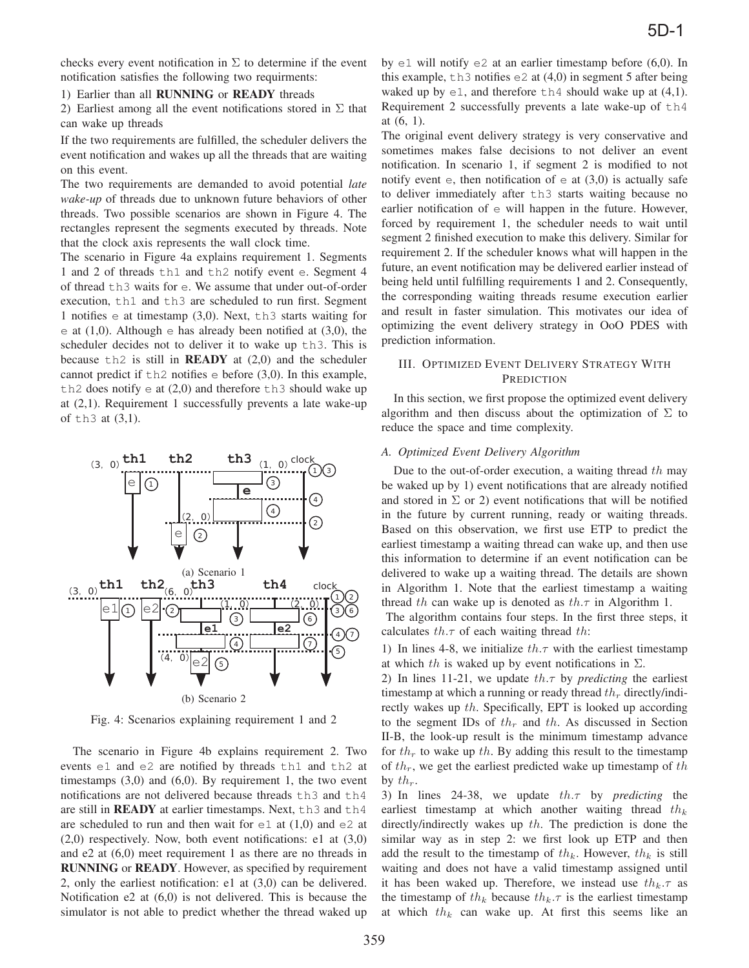checks every event notification in  $\Sigma$  to determine if the event notification satisfies the following two requirments:

1) Earlier than all RUNNING or READY threads

2) Earliest among all the event notifications stored in  $\Sigma$  that can wake up threads

If the two requirements are fulfilled, the scheduler delivers the event notification and wakes up all the threads that are waiting on this event.

The two requirements are demanded to avoid potential *late wake-up* of threads due to unknown future behaviors of other threads. Two possible scenarios are shown in Figure 4. The rectangles represent the segments executed by threads. Note that the clock axis represents the wall clock time.

The scenario in Figure 4a explains requirement 1. Segments 1 and 2 of threads th1 and th2 notify event e. Segment 4 of thread th3 waits for e. We assume that under out-of-order execution, th1 and th3 are scheduled to run first. Segment 1 notifies e at timestamp (3,0). Next, th3 starts waiting for e at  $(1,0)$ . Although e has already been notified at  $(3,0)$ , the scheduler decides not to deliver it to wake up th3. This is because  $\pm h2$  is still in **READY** at  $(2,0)$  and the scheduler cannot predict if  $th2$  notifies  $e$  before (3,0). In this example, th2 does notify  $\in$  at (2,0) and therefore th3 should wake up at (2,1). Requirement 1 successfully prevents a late wake-up of th3 at (3,1).



Fig. 4: Scenarios explaining requirement 1 and 2

The scenario in Figure 4b explains requirement 2. Two events e1 and e2 are notified by threads th1 and th2 at timestamps  $(3,0)$  and  $(6,0)$ . By requirement 1, the two event notifications are not delivered because threads th3 and th4 are still in **READY** at earlier timestamps. Next,  $th3$  and  $th4$ are scheduled to run and then wait for  $\epsilon$ 1 at (1,0) and  $\epsilon$ 2 at (2,0) respectively. Now, both event notifications: e1 at (3,0) and e2 at (6,0) meet requirement 1 as there are no threads in RUNNING or READY. However, as specified by requirement 2, only the earliest notification: e1 at (3,0) can be delivered. Notification e2 at (6,0) is not delivered. This is because the simulator is not able to predict whether the thread waked up by  $e1$  will notify  $e2$  at an earlier timestamp before (6,0). In this example,  $\pm$ h3 notifies e2 at (4,0) in segment 5 after being waked up by  $\in$  1, and therefore th4 should wake up at (4,1). Requirement 2 successfully prevents a late wake-up of th4 at (6, 1).

The original event delivery strategy is very conservative and sometimes makes false decisions to not deliver an event notification. In scenario 1, if segment 2 is modified to not notify event  $e$ , then notification of  $e$  at  $(3,0)$  is actually safe to deliver immediately after th3 starts waiting because no earlier notification of e will happen in the future. However, forced by requirement 1, the scheduler needs to wait until segment 2 finished execution to make this delivery. Similar for requirement 2. If the scheduler knows what will happen in the future, an event notification may be delivered earlier instead of being held until fulfilling requirements 1 and 2. Consequently, the corresponding waiting threads resume execution earlier and result in faster simulation. This motivates our idea of optimizing the event delivery strategy in OoO PDES with prediction information.

# III. OPTIMIZED EVENT DELIVERY STRATEGY WITH **PREDICTION**

In this section, we first propose the optimized event delivery algorithm and then discuss about the optimization of  $\Sigma$  to reduce the space and time complexity.

## *A. Optimized Event Delivery Algorithm*

Due to the out-of-order execution, a waiting thread  $th$  may be waked up by 1) event notifications that are already notified and stored in  $\Sigma$  or 2) event notifications that will be notified in the future by current running, ready or waiting threads. Based on this observation, we first use ETP to predict the earliest timestamp a waiting thread can wake up, and then use this information to determine if an event notification can be delivered to wake up a waiting thread. The details are shown in Algorithm 1. Note that the earliest timestamp a waiting thread th can wake up is denoted as  $th.\tau$  in Algorithm 1.

The algorithm contains four steps. In the first three steps, it calculates  $th.\tau$  of each waiting thread  $th$ :

1) In lines 4-8, we initialize  $th.\tau$  with the earliest timestamp at which th is waked up by event notifications in  $\Sigma$ .

2) In lines 11-21, we update  $th.\tau$  by *predicting* the earliest timestamp at which a running or ready thread  $th_r$  directly/indirectly wakes up th. Specifically, EPT is looked up according to the segment IDs of  $th<sub>r</sub>$  and  $th$ . As discussed in Section II-B, the look-up result is the minimum timestamp advance for  $th_r$  to wake up th. By adding this result to the timestamp of  $th_r$ , we get the earliest predicted wake up timestamp of  $th$ by  $th_r$ .

3) In lines 24-38, we update th.τ by *predicting* the earliest timestamp at which another waiting thread  $th_k$ directly/indirectly wakes up th. The prediction is done the similar way as in step 2: we first look up ETP and then add the result to the timestamp of  $th_k$ . However,  $th_k$  is still waiting and does not have a valid timestamp assigned until it has been waked up. Therefore, we instead use  $th_k.\tau$  as the timestamp of  $th_k$  because  $th_k.\tau$  is the earliest timestamp at which  $th_k$  can wake up. At first this seems like an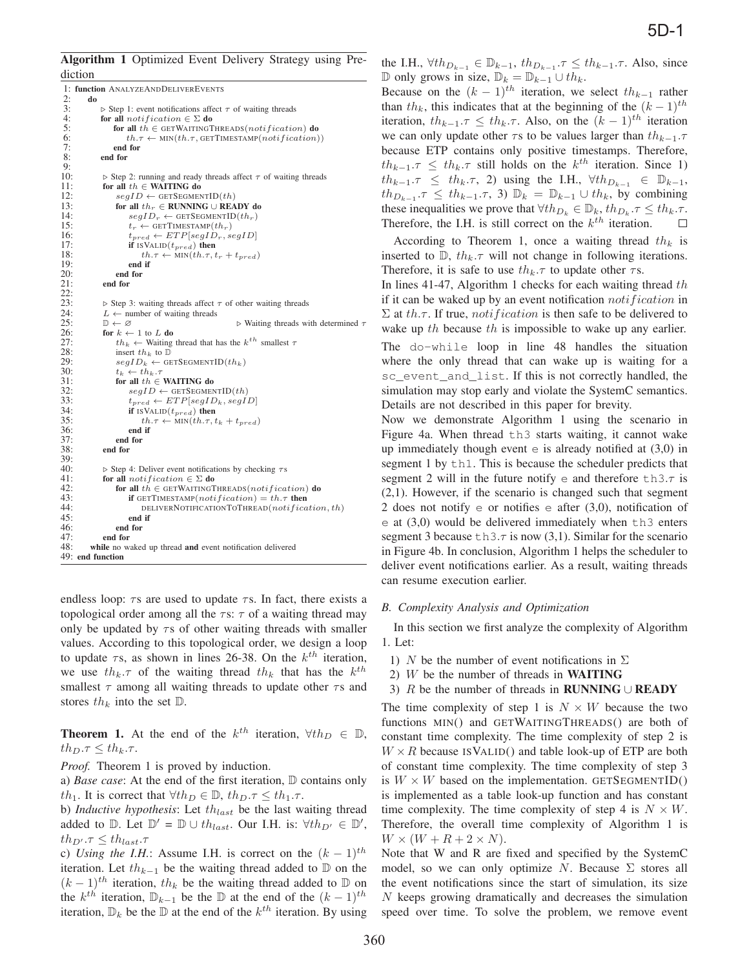Algorithm 1 Optimized Event Delivery Strategy using Prediction

```
1: function ANALYZEANDDELIVEREVENTS<br>2: do
  2: do<br>
3: \uparrow<br>
4: fo
                  \triangleright Step 1: event notifications affect \tau of waiting threads
 4: for all notification \in \Sigma do<br>5: for all th \in GETWAITINGT
 5: for all th \in GETWAITINGTHREADS(notification) do<br>6: th.\tau \leftarrow MIN(th.\tau, GETTIMESTAMP(notification)<br>7: end for
                             th.\tau \leftarrow \text{MIN}(th.\tau, \text{GETTIMESTAMP}(notification))7: end for
                  end for
  9:
\frac{10}{11}\triangleright Step 2: running and ready threads affect \tau of waiting threads
11: for all th \in WAITING do <br>12: seqID \leftarrow GETSEGMED
12: segID \leftarrow GETSeGMENTID(th)<br>13: for all th_r \in RUNNING \cup REA
13: for all th_r \in RUNNING ∪ READY do 14: \text{seqID}_r \leftarrow \text{GETSesmenTID}(th_r)14: segID_r \leftarrow \text{GETSeGMENTID}(th_r)<br>15: t_r \leftarrow \text{GETTIMESTAMP}(th_r)15: t_r \leftarrow \text{GETTIMESTAMP}(th_r)<br>16: t_{pred} \leftarrow ETP[segID_r, segID]16: t_{pred} \leftarrow ETP[segID_r, segID]<br>
17: if ISVALID(t_{pred}) then<br>
18: th.\tau \leftarrow \text{MIN}(th.\tau, t_r + t_{pred})<br>
19
19: end if<br>
20: end for
20: end for<br>21: end for
                   end for
22:
23: 24:\triangleright Step 3: waiting threads affect \tau of other waiting threads
24: L \leftarrow number of waiting threads<br>25: \mathbb{D} \leftarrow \emptyset25: \mathbb{D} \leftarrow \varnothing b<br>
26: for k \leftarrow 1 to L do<br>
27: th \leftarrow Waiting thread that has the
                                                                              \triangleright Waiting threads with determined \tau26: for k \leftarrow 1 to L do<br>
27: th_k \leftarrow Waiting thread that has the k^{th} smallest \tau<br>
28: insert th_k to D
28: insert th_k to D<br>29: seqID_k \leftarrow GE
29: segID_k \leftarrow GETSEGMENTID(th_k)<br>30: t_k \leftarrow th_k.\tau30: t_k \leftarrow th_k.\tau<br>31: for all th \in WAITING do<br>32: \begin{array}{r} \text{seqID} \leftarrow \text{GETSEGME1} \end{array}32: \begin{array}{r}\n 32: \quad \text{segID} \leftarrow \text{GETSeGMENTID}(th) \\
 33: \quad \text{fused} \leftarrow \text{ETP}[seqID_L, seqI]\n \end{array}33: t_{pred} \leftarrow ETP[segID_k, segID]<br>34: if ISVALID(t_{pred}) then
34: if ISVALID(t_{pred}) then<br>35: th.\tau \leftarrow \text{MIN}(th.\tau, t)35: t h.\tau \leftarrow \text{MIN}(t h.\tau, t_k + t_{pred})<br>36: end if<br>37: end for
                              end if
37: end for 38: end for
                   end for
39:
\frac{40}{41}:
                   \triangleright Step 4: Deliver event notifications by checking \tau s41: for all notification \in \Sigma do<br>42: for all th \in \text{GETWATTING}42: for all th \in GETWAITINGTHREADS(notification) do<br>43: if GETTIMESTAMP(notification) = th.\tau then
43: if GETTIMESTAMP(notification) = th.\tau then<br>44: DELIVERNOTIFICATIONTOTHREAD(notifica<br>45: end if
                                    \verb|DELIVERNOTIFICATIONTOTHREAD(notification, th)|end if
\frac{46}{47}: end for
47: end for 48: while no w
             while no waked up thread and event notification delivered
49: end function
```
endless loop:  $\tau s$  are used to update  $\tau s$ . In fact, there exists a topological order among all the  $\tau s$ :  $\tau$  of a waiting thread may only be updated by  $\tau s$  of other waiting threads with smaller values. According to this topological order, we design a loop to update  $\tau s$ , as shown in lines 26-38. On the  $k^{th}$  iteration, we use  $th_k.\tau$  of the waiting thread  $th_k$  that has the  $k^{th}$ smallest  $\tau$  among all waiting threads to update other  $\tau$ s and stores  $th_k$  into the set  $\mathbb{D}$ .

**Theorem 1.** At the end of the  $k^{th}$  iteration,  $\forall th_D \in \mathbb{D}$ ,  $th_D. \tau \leq th_k. \tau.$ 

*Proof.* Theorem 1 is proved by induction.

a) *Base case*: At the end of the first iteration, D contains only th<sub>1</sub>. It is correct that  $\forall th_D \in \mathbb{D}$ ,  $th_D. \tau \leq th_1. \tau$ .

b) *Inductive hypothesis*: Let  $th_{last}$  be the last waiting thread added to  $\mathbb{D}$ . Let  $\mathbb{D}' = \mathbb{D} \cup th_{last}$ . Our I.H. is:  $\forall th_{D'} \in \mathbb{D}',$  $th_{D'} \tau \leq th_{last} \tau$ <br>a) Using the UL

c) *Using the I.H.*: Assume I.H. is correct on the  $(k - 1)$ <sup>th</sup> iteration. Let  $th_{k-1}$  be the waiting thread added to D on the  $(k-1)$ <sup>th</sup> iteration, th<sub>k</sub> be the waiting thread added to D on the  $k^{th}$  iteration,  $\mathbb{D}_{k-1}$  be the  $\mathbb{D}$  at the end of the  $(k-1)^{th}$ iteration,  $\mathbb{D}_k$  be the  $\mathbb D$  at the end of the  $k^{th}$  iteration. By using the I.H.,  $\forall th_{D_{k-1}} \in \mathbb{D}_{k-1}$ ,  $th_{D_{k-1}} \cdot \tau \leq th_{k-1} \cdot \tau$ . Also, since D only grows in size,  $\mathbb{D}_k = \mathbb{D}_{k-1} \cup th_k$ .

Because on the  $(k-1)$ <sup>th</sup> iteration, we select th<sub>k-1</sub> rather than th<sub>k</sub>, this indicates that at the beginning of the  $(k-1)$ <sup>th</sup> iteration,  $th_{k-1} \tau \leq th_k \tau$ . Also, on the  $(k-1)$ <sup>th</sup> iteration we can only update other  $\tau s$  to be values larger than  $th_{k-1}.\tau$ because ETP contains only positive timestamps. Therefore,  $th_{k-1}.\tau \leq th_k.\tau$  still holds on the  $k^{th}$  iteration. Since 1)  $th_{k-1}.\tau \leq th_k.\tau$ , 2) using the I.H.,  $\forall th_{D_{k-1}} \in \mathbb{D}_{k-1}$ ,  $th_{D_{k-1}}$ , $\tau \leq th_{k-1}$ , $\tau$ , 3)  $\mathbb{D}_k = \mathbb{D}_{k-1} \cup th_k$ , by combining these inequalities we prove that  $\forall th_{D_k} \in \mathbb{D}_k$ ,  $th_{D_k} \cdot \tau \leq th_k \cdot \tau$ .<br>Therefore, the LH, is still correct on the  $k^{th}$  iteration. Therefore, the I.H. is still correct on the  $k^{th}$  iteration.

According to Theorem 1, once a waiting thread  $th_k$  is inserted to  $\mathbb{D}$ ,  $th_k.\tau$  will not change in following iterations. Therefore, it is safe to use  $th_k.\tau$  to update other  $\tau s$ .

In lines 41-47, Algorithm 1 checks for each waiting thread  $th$ if it can be waked up by an event notification *notification* in  $\Sigma$  at th.τ. If true, *notification* is then safe to be delivered to wake up th because th is impossible to wake up any earlier.

The do-while loop in line 48 handles the situation where the only thread that can wake up is waiting for a sc\_event\_and\_list. If this is not correctly handled, the simulation may stop early and violate the SystemC semantics. Details are not described in this paper for brevity.

Now we demonstrate Algorithm 1 using the scenario in Figure 4a. When thread th3 starts waiting, it cannot wake up immediately though event  $e$  is already notified at  $(3,0)$  in segment 1 by th1. This is because the scheduler predicts that segment 2 will in the future notify  $e$  and therefore th3. $\tau$  is (2,1). However, if the scenario is changed such that segment 2 does not notify  $\epsilon$  or notifies  $\epsilon$  after (3,0), notification of  $e$  at  $(3,0)$  would be delivered immediately when th3 enters segment 3 because  $\text{th}3.\tau$  is now (3,1). Similar for the scenario in Figure 4b. In conclusion, Algorithm 1 helps the scheduler to deliver event notifications earlier. As a result, waiting threads can resume execution earlier.

#### *B. Complexity Analysis and Optimization*

In this section we first analyze the complexity of Algorithm 1. Let:

1) N be the number of event notifications in  $\Sigma$ 

- 2)  $W$  be the number of threads in **WAITING**
- 3) R be the number of threads in RUNNING ∪ READY

The time complexity of step 1 is  $N \times W$  because the two functions MIN() and GETWAITINGTHREADS() are both of constant time complexity. The time complexity of step 2 is  $W \times R$  because ISVALID() and table look-up of ETP are both of constant time complexity. The time complexity of step 3 is  $W \times W$  based on the implementation. GETSEGMENTID() is implemented as a table look-up function and has constant time complexity. The time complexity of step 4 is  $N \times W$ . Therefore, the overall time complexity of Algorithm 1 is  $W \times (W + R + 2 \times N).$ 

Note that W and R are fixed and specified by the SystemC model, so we can only optimize N. Because  $\Sigma$  stores all the event notifications since the start of simulation, its size N keeps growing dramatically and decreases the simulation speed over time. To solve the problem, we remove event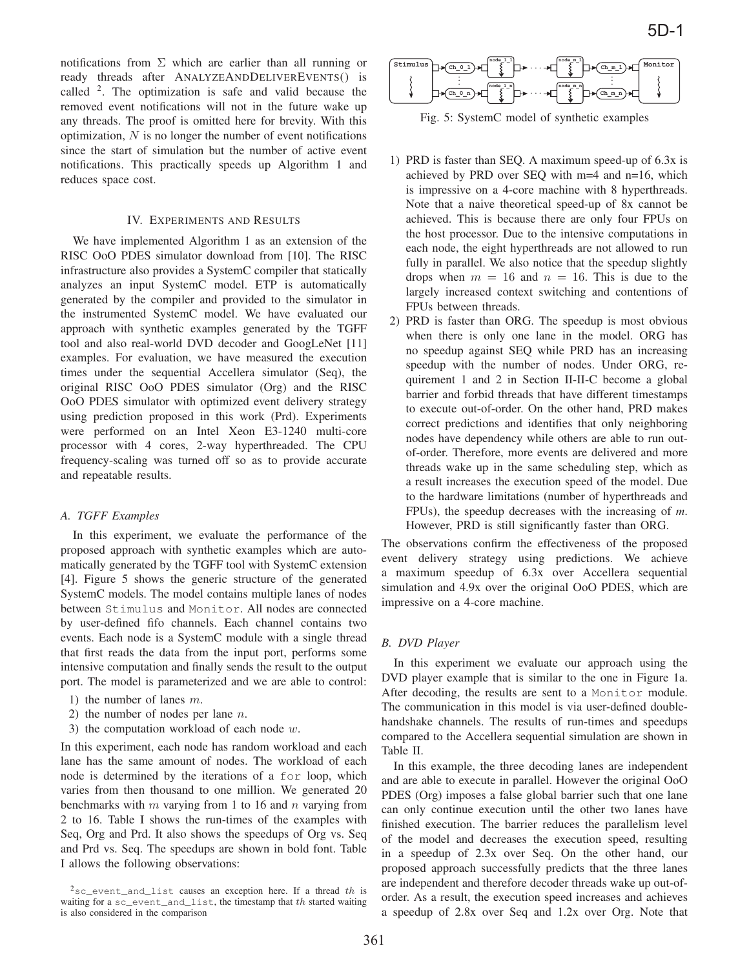notifications from  $\Sigma$  which are earlier than all running or ready threads after ANALYZEANDDELIVEREVENTS() is called  $2$ . The optimization is safe and valid because the removed event notifications will not in the future wake up any threads. The proof is omitted here for brevity. With this optimization,  $N$  is no longer the number of event notifications since the start of simulation but the number of active event notifications. This practically speeds up Algorithm 1 and reduces space cost.

## IV. EXPERIMENTS AND RESULTS

We have implemented Algorithm 1 as an extension of the RISC OoO PDES simulator download from [10]. The RISC infrastructure also provides a SystemC compiler that statically analyzes an input SystemC model. ETP is automatically generated by the compiler and provided to the simulator in the instrumented SystemC model. We have evaluated our approach with synthetic examples generated by the TGFF tool and also real-world DVD decoder and GoogLeNet [11] examples. For evaluation, we have measured the execution times under the sequential Accellera simulator (Seq), the original RISC OoO PDES simulator (Org) and the RISC OoO PDES simulator with optimized event delivery strategy using prediction proposed in this work (Prd). Experiments were performed on an Intel Xeon E3-1240 multi-core processor with 4 cores, 2-way hyperthreaded. The CPU frequency-scaling was turned off so as to provide accurate and repeatable results.

## *A. TGFF Examples*

In this experiment, we evaluate the performance of the proposed approach with synthetic examples which are automatically generated by the TGFF tool with SystemC extension [4]. Figure 5 shows the generic structure of the generated SystemC models. The model contains multiple lanes of nodes between Stimulus and Monitor. All nodes are connected by user-defined fifo channels. Each channel contains two events. Each node is a SystemC module with a single thread that first reads the data from the input port, performs some intensive computation and finally sends the result to the output port. The model is parameterized and we are able to control:

- 1) the number of lanes  $m$ .
- 2) the number of nodes per lane  $n$ .
- 3) the computation workload of each node  $w$ .

In this experiment, each node has random workload and each lane has the same amount of nodes. The workload of each node is determined by the iterations of a for loop, which varies from then thousand to one million. We generated 20 benchmarks with  $m$  varying from 1 to 16 and  $n$  varying from 2 to 16. Table I shows the run-times of the examples with Seq, Org and Prd. It also shows the speedups of Org vs. Seq and Prd vs. Seq. The speedups are shown in bold font. Table I allows the following observations:



Fig. 5: SystemC model of synthetic examples

- 1) PRD is faster than SEQ. A maximum speed-up of 6.3x is achieved by PRD over SEQ with m=4 and n=16, which is impressive on a 4-core machine with 8 hyperthreads. Note that a naive theoretical speed-up of 8x cannot be achieved. This is because there are only four FPUs on the host processor. Due to the intensive computations in each node, the eight hyperthreads are not allowed to run fully in parallel. We also notice that the speedup slightly drops when  $m = 16$  and  $n = 16$ . This is due to the largely increased context switching and contentions of FPUs between threads.
- 2) PRD is faster than ORG. The speedup is most obvious when there is only one lane in the model. ORG has no speedup against SEQ while PRD has an increasing speedup with the number of nodes. Under ORG, requirement 1 and 2 in Section II-II-C become a global barrier and forbid threads that have different timestamps to execute out-of-order. On the other hand, PRD makes correct predictions and identifies that only neighboring nodes have dependency while others are able to run outof-order. Therefore, more events are delivered and more threads wake up in the same scheduling step, which as a result increases the execution speed of the model. Due to the hardware limitations (number of hyperthreads and FPUs), the speedup decreases with the increasing of *m*. However, PRD is still significantly faster than ORG.

The observations confirm the effectiveness of the proposed event delivery strategy using predictions. We achieve a maximum speedup of 6.3x over Accellera sequential simulation and 4.9x over the original OoO PDES, which are impressive on a 4-core machine.

#### *B. DVD Player*

In this experiment we evaluate our approach using the DVD player example that is similar to the one in Figure 1a. After decoding, the results are sent to a Monitor module. The communication in this model is via user-defined doublehandshake channels. The results of run-times and speedups compared to the Accellera sequential simulation are shown in Table II.

In this example, the three decoding lanes are independent and are able to execute in parallel. However the original OoO PDES (Org) imposes a false global barrier such that one lane can only continue execution until the other two lanes have finished execution. The barrier reduces the parallelism level of the model and decreases the execution speed, resulting in a speedup of 2.3x over Seq. On the other hand, our proposed approach successfully predicts that the three lanes are independent and therefore decoder threads wake up out-oforder. As a result, the execution speed increases and achieves a speedup of 2.8x over Seq and 1.2x over Org. Note that

 $2$ sc event and list causes an exception here. If a thread th is waiting for a sc\_event\_and\_list, the timestamp that th started waiting is also considered in the comparison